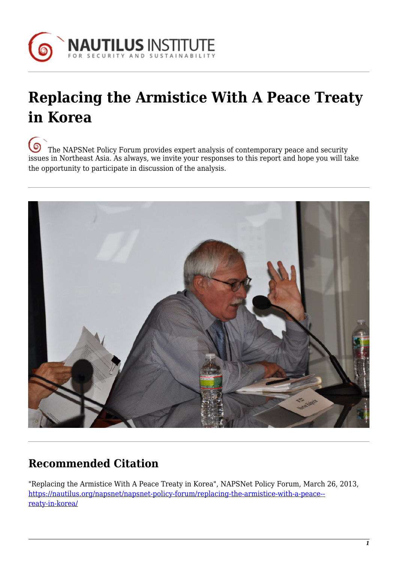

# **Replacing the Armistice With A Peace Treaty in Korea**

[T](https://nautilus.org/wp-content/uploads/2013/05/nautilus-logo-small.png)he NAPSNet Policy Forum provides expert analysis of contemporary peace and security issues in Northeast Asia. As always, we invite your responses to this report and hope you will take the opportunity to participate in discussion of the analysis.



## **Recommended Citation**

"Replacing the Armistice With A Peace Treaty in Korea", NAPSNet Policy Forum, March 26, 2013, [https://nautilus.org/napsnet/napsnet-policy-forum/replacing-the-armistice-with-a-peace-](https://nautilus.org/napsnet/napsnet-policy-forum/replacing-the-armistice-with-a-peace-treaty-in-korea/) [reaty-in-korea/](https://nautilus.org/napsnet/napsnet-policy-forum/replacing-the-armistice-with-a-peace-treaty-in-korea/)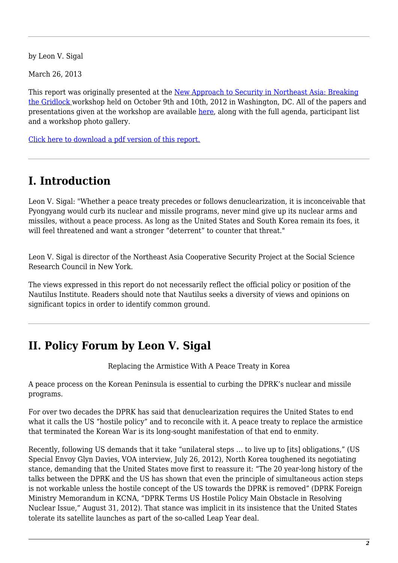by Leon V. Sigal

March 26, 2013

This report was originally presented at the [New Approach to Security in Northeast Asia: Breaking](https://nautilus.org/projects/by-name/korea-japan-nwfz/workshops/gridlock/) [the Gridlock w](https://nautilus.org/projects/by-name/korea-japan-nwfz/workshops/gridlock/)orkshop held on October 9th and 10th, 2012 in Washington, DC. All of the papers and presentations given at the workshop are available [here,](https://nautilus.org/projects/by-name/korea-japan-nwfz/workshops/gridlock/) along with the full agenda, participant list and a workshop photo gallery.

[Click here to download a pdf version of this report.](https://nautilus.org/wp-content/uploads/2013/03/replacing-the-armistice-with-a-peace-treaty.pdf)

### **I. Introduction**

Leon V. Sigal: "Whether a peace treaty precedes or follows denuclearization, it is inconceivable that Pyongyang would curb its nuclear and missile programs, never mind give up its nuclear arms and missiles, without a peace process. As long as the United States and South Korea remain its foes, it will feel threatened and want a stronger "deterrent" to counter that threat."

Leon V. Sigal is director of the Northeast Asia Cooperative Security Project at the Social Science Research Council in New York.

The views expressed in this report do not necessarily reflect the official policy or position of the Nautilus Institute. Readers should note that Nautilus seeks a diversity of views and opinions on significant topics in order to identify common ground.

#### **II. Policy Forum by Leon V. Sigal**

Replacing the Armistice With A Peace Treaty in Korea

A peace process on the Korean Peninsula is essential to curbing the DPRK's nuclear and missile programs.

For over two decades the DPRK has said that denuclearization requires the United States to end what it calls the US "hostile policy" and to reconcile with it. A peace treaty to replace the armistice that terminated the Korean War is its long-sought manifestation of that end to enmity.

Recently, following US demands that it take "unilateral steps … to live up to [its] obligations," (US Special Envoy Glyn Davies, VOA interview, July 26, 2012), North Korea toughened its negotiating stance, demanding that the United States move first to reassure it: "The 20 year-long history of the talks between the DPRK and the US has shown that even the principle of simultaneous action steps is not workable unless the hostile concept of the US towards the DPRK is removed" (DPRK Foreign Ministry Memorandum in KCNA, "DPRK Terms US Hostile Policy Main Obstacle in Resolving Nuclear Issue," August 31, 2012). That stance was implicit in its insistence that the United States tolerate its satellite launches as part of the so-called Leap Year deal.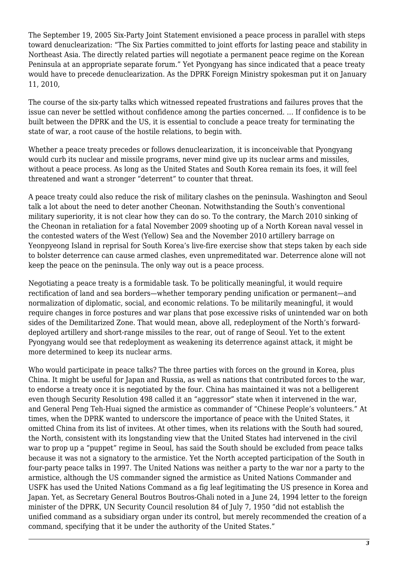The September 19, 2005 Six-Party Joint Statement envisioned a peace process in parallel with steps toward denuclearization: "The Six Parties committed to joint efforts for lasting peace and stability in Northeast Asia. The directly related parties will negotiate a permanent peace regime on the Korean Peninsula at an appropriate separate forum." Yet Pyongyang has since indicated that a peace treaty would have to precede denuclearization. As the DPRK Foreign Ministry spokesman put it on January 11, 2010,

The course of the six-party talks which witnessed repeated frustrations and failures proves that the issue can never be settled without confidence among the parties concerned. … If confidence is to be built between the DPRK and the US, it is essential to conclude a peace treaty for terminating the state of war, a root cause of the hostile relations, to begin with.

Whether a peace treaty precedes or follows denuclearization, it is inconceivable that Pyongyang would curb its nuclear and missile programs, never mind give up its nuclear arms and missiles, without a peace process. As long as the United States and South Korea remain its foes, it will feel threatened and want a stronger "deterrent" to counter that threat.

A peace treaty could also reduce the risk of military clashes on the peninsula. Washington and Seoul talk a lot about the need to deter another Cheonan. Notwithstanding the South's conventional military superiority, it is not clear how they can do so. To the contrary, the March 2010 sinking of the Cheonan in retaliation for a fatal November 2009 shooting up of a North Korean naval vessel in the contested waters of the West (Yellow) Sea and the November 2010 artillery barrage on Yeonpyeong Island in reprisal for South Korea's live-fire exercise show that steps taken by each side to bolster deterrence can cause armed clashes, even unpremeditated war. Deterrence alone will not keep the peace on the peninsula. The only way out is a peace process.

Negotiating a peace treaty is a formidable task. To be politically meaningful, it would require rectification of land and sea borders—whether temporary pending unification or permanent—and normalization of diplomatic, social, and economic relations. To be militarily meaningful, it would require changes in force postures and war plans that pose excessive risks of unintended war on both sides of the Demilitarized Zone. That would mean, above all, redeployment of the North's forwarddeployed artillery and short-range missiles to the rear, out of range of Seoul. Yet to the extent Pyongyang would see that redeployment as weakening its deterrence against attack, it might be more determined to keep its nuclear arms.

Who would participate in peace talks? The three parties with forces on the ground in Korea, plus China. It might be useful for Japan and Russia, as well as nations that contributed forces to the war, to endorse a treaty once it is negotiated by the four. China has maintained it was not a belligerent even though Security Resolution 498 called it an "aggressor" state when it intervened in the war, and General Peng Teh-Huai signed the armistice as commander of "Chinese People's volunteers." At times, when the DPRK wanted to underscore the importance of peace with the United States, it omitted China from its list of invitees. At other times, when its relations with the South had soured, the North, consistent with its longstanding view that the United States had intervened in the civil war to prop up a "puppet" regime in Seoul, has said the South should be excluded from peace talks because it was not a signatory to the armistice. Yet the North accepted participation of the South in four-party peace talks in 1997. The United Nations was neither a party to the war nor a party to the armistice, although the US commander signed the armistice as United Nations Commander and USFK has used the United Nations Command as a fig leaf legitimating the US presence in Korea and Japan. Yet, as Secretary General Boutros Boutros-Ghali noted in a June 24, 1994 letter to the foreign minister of the DPRK, UN Security Council resolution 84 of July 7, 1950 "did not establish the unified command as a subsidiary organ under its control, but merely recommended the creation of a command, specifying that it be under the authority of the United States."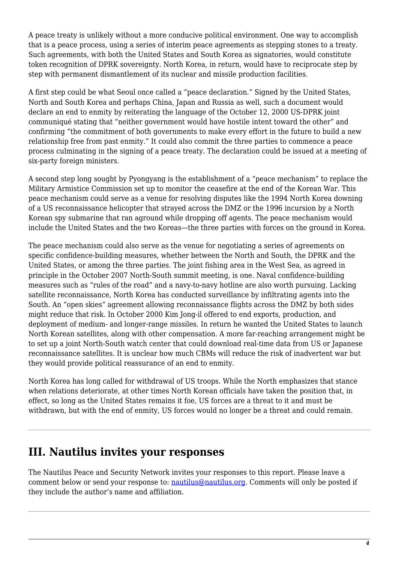A peace treaty is unlikely without a more conducive political environment. One way to accomplish that is a peace process, using a series of interim peace agreements as stepping stones to a treaty. Such agreements, with both the United States and South Korea as signatories, would constitute token recognition of DPRK sovereignty. North Korea, in return, would have to reciprocate step by step with permanent dismantlement of its nuclear and missile production facilities.

A first step could be what Seoul once called a "peace declaration." Signed by the United States, North and South Korea and perhaps China, Japan and Russia as well, such a document would declare an end to enmity by reiterating the language of the October 12, 2000 US-DPRK joint communiqué stating that "neither government would have hostile intent toward the other" and confirming "the commitment of both governments to make every effort in the future to build a new relationship free from past enmity." It could also commit the three parties to commence a peace process culminating in the signing of a peace treaty. The declaration could be issued at a meeting of six-party foreign ministers.

A second step long sought by Pyongyang is the establishment of a "peace mechanism" to replace the Military Armistice Commission set up to monitor the ceasefire at the end of the Korean War. This peace mechanism could serve as a venue for resolving disputes like the 1994 North Korea downing of a US reconnaissance helicopter that strayed across the DMZ or the 1996 incursion by a North Korean spy submarine that ran aground while dropping off agents. The peace mechanism would include the United States and the two Koreas—the three parties with forces on the ground in Korea.

The peace mechanism could also serve as the venue for negotiating a series of agreements on specific confidence-building measures, whether between the North and South, the DPRK and the United States, or among the three parties. The joint fishing area in the West Sea, as agreed in principle in the October 2007 North-South summit meeting, is one. Naval confidence-building measures such as "rules of the road" and a navy-to-navy hotline are also worth pursuing. Lacking satellite reconnaissance, North Korea has conducted surveillance by infiltrating agents into the South. An "open skies" agreement allowing reconnaissance flights across the DMZ by both sides might reduce that risk. In October 2000 Kim Jong-il offered to end exports, production, and deployment of medium- and longer-range missiles. In return he wanted the United States to launch North Korean satellites, along with other compensation. A more far-reaching arrangement might be to set up a joint North-South watch center that could download real-time data from US or Japanese reconnaissance satellites. It is unclear how much CBMs will reduce the risk of inadvertent war but they would provide political reassurance of an end to enmity.

North Korea has long called for withdrawal of US troops. While the North emphasizes that stance when relations deteriorate, at other times North Korean officials have taken the position that, in effect, so long as the United States remains it foe, US forces are a threat to it and must be withdrawn, but with the end of enmity, US forces would no longer be a threat and could remain.

#### **III. Nautilus invites your responses**

The Nautilus Peace and Security Network invites your responses to this report. Please leave a comment below or send your response to: [nautilus@nautilus.org](mailto:napsnet@nautilus.org). Comments will only be posted if they include the author's name and affiliation.